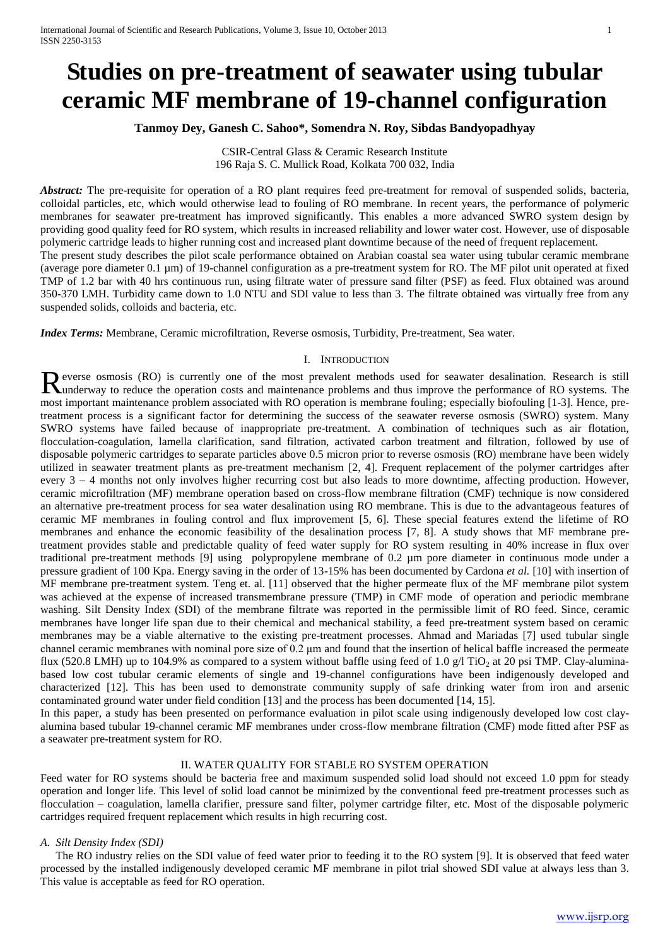# **Studies on pre-treatment of seawater using tubular ceramic MF membrane of 19-channel configuration**

**Tanmoy Dey, Ganesh C. Sahoo\*, Somendra N. Roy, Sibdas Bandyopadhyay**

CSIR-Central Glass & Ceramic Research Institute 196 Raja S. C. Mullick Road, Kolkata 700 032, India

*Abstract:* The pre-requisite for operation of a RO plant requires feed pre-treatment for removal of suspended solids, bacteria, colloidal particles, etc, which would otherwise lead to fouling of RO membrane. In recent years, the performance of polymeric membranes for seawater pre-treatment has improved significantly. This enables a more advanced SWRO system design by providing good quality feed for RO system, which results in increased reliability and lower water cost. However, use of disposable polymeric cartridge leads to higher running cost and increased plant downtime because of the need of frequent replacement. The present study describes the pilot scale performance obtained on Arabian coastal sea water using tubular ceramic membrane (average pore diameter 0.1 µm) of 19-channel configuration as a pre-treatment system for RO. The MF pilot unit operated at fixed TMP of 1.2 bar with 40 hrs continuous run, using filtrate water of pressure sand filter (PSF) as feed. Flux obtained was around 350-370 LMH. Turbidity came down to 1.0 NTU and SDI value to less than 3. The filtrate obtained was virtually free from any suspended solids, colloids and bacteria, etc.

*Index Terms:* Membrane, Ceramic microfiltration, Reverse osmosis, Turbidity, Pre-treatment, Sea water.

## I. INTRODUCTION

everse osmosis (RO) is currently one of the most prevalent methods used for seawater desalination. Research is still Reverse osmosis (RO) is currently one of the most prevalent methods used for seawater desalination. Research is still underway to reduce the operation costs and maintenance problems and thus improve the performance of RO s most important maintenance problem associated with RO operation is membrane fouling; especially biofouling [1-3]. Hence, pretreatment process is a significant factor for determining the success of the seawater reverse osmosis (SWRO) system. Many SWRO systems have failed because of inappropriate pre-treatment. A combination of techniques such as air flotation, flocculation-coagulation, lamella clarification, sand filtration, activated carbon treatment and filtration, followed by use of disposable polymeric cartridges to separate particles above 0.5 micron prior to reverse osmosis (RO) membrane have been widely utilized in seawater treatment plants as pre-treatment mechanism [2, 4]. Frequent replacement of the polymer cartridges after every 3 – 4 months not only involves higher recurring cost but also leads to more downtime, affecting production. However, ceramic microfiltration (MF) membrane operation based on cross-flow membrane filtration (CMF) technique is now considered an alternative pre-treatment process for sea water desalination using RO membrane. This is due to the advantageous features of ceramic MF membranes in fouling control and flux improvement [5, 6]. These special features extend the lifetime of RO membranes and enhance the economic feasibility of the desalination process [7, 8]. A study shows that MF membrane pretreatment provides stable and predictable quality of feed water supply for RO system resulting in 40% increase in flux over traditional pre-treatment methods [9] using polypropylene membrane of 0.2 µm pore diameter in continuous mode under a pressure gradient of 100 Kpa. Energy saving in the order of 13-15% has been documented by Cardona *et al.* [10] with insertion of MF membrane pre-treatment system. Teng et. al. [11] observed that the higher permeate flux of the MF membrane pilot system was achieved at the expense of increased transmembrane pressure (TMP) in CMF mode of operation and periodic membrane washing. Silt Density Index (SDI) of the membrane filtrate was reported in the permissible limit of RO feed. Since, ceramic membranes have longer life span due to their chemical and mechanical stability, a feed pre-treatment system based on ceramic membranes may be a viable alternative to the existing pre-treatment processes. Ahmad and Mariadas [7] used tubular single channel ceramic membranes with nominal pore size of  $0.2 \mu m$  and found that the insertion of helical baffle increased the permeate flux (520.8 LMH) up to 104.9% as compared to a system without baffle using feed of 1.0 g/l TiO<sub>2</sub> at 20 psi TMP. Clay-aluminabased low cost tubular ceramic elements of single and 19-channel configurations have been indigenously developed and characterized [12]. This has been used to demonstrate community supply of safe drinking water from iron and arsenic contaminated ground water under field condition [13] and the process has been documented [14, 15].

In this paper, a study has been presented on performance evaluation in pilot scale using indigenously developed low cost clayalumina based tubular 19-channel ceramic MF membranes under cross-flow membrane filtration (CMF) mode fitted after PSF as a seawater pre-treatment system for RO.

## II. WATER QUALITY FOR STABLE RO SYSTEM OPERATION

Feed water for RO systems should be bacteria free and maximum suspended solid load should not exceed 1.0 ppm for steady operation and longer life. This level of solid load cannot be minimized by the conventional feed pre-treatment processes such as flocculation – coagulation, lamella clarifier, pressure sand filter, polymer cartridge filter, etc. Most of the disposable polymeric cartridges required frequent replacement which results in high recurring cost.

## *A. Silt Density Index (SDI)*

The RO industry relies on the SDI value of feed water prior to feeding it to the RO system [9]. It is observed that feed water processed by the installed indigenously developed ceramic MF membrane in pilot trial showed SDI value at always less than 3. This value is acceptable as feed for RO operation.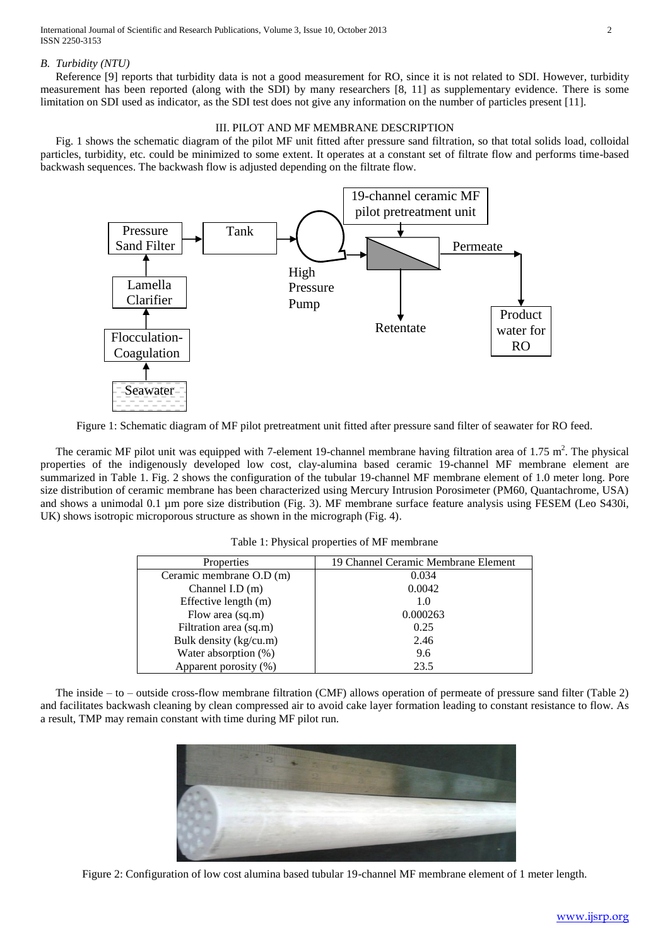International Journal of Scientific and Research Publications, Volume 3, Issue 10, October 2013 2 ISSN 2250-3153

## *B. Turbidity (NTU)*

Reference [9] reports that turbidity data is not a good measurement for RO, since it is not related to SDI. However, turbidity measurement has been reported (along with the SDI) by many researchers [8, 11] as supplementary evidence. There is some limitation on SDI used as indicator, as the SDI test does not give any information on the number of particles present [11].

## III. PILOT AND MF MEMBRANE DESCRIPTION

Fig. 1 shows the schematic diagram of the pilot MF unit fitted after pressure sand filtration, so that total solids load, colloidal particles, turbidity, etc. could be minimized to some extent. It operates at a constant set of filtrate flow and performs time-based backwash sequences. The backwash flow is adjusted depending on the filtrate flow.



Figure 1: Schematic diagram of MF pilot pretreatment unit fitted after pressure sand filter of seawater for RO feed.

The ceramic MF pilot unit was equipped with 7-element 19-channel membrane having filtration area of 1.75  $m^2$ . The physical properties of the indigenously developed low cost, clay-alumina based ceramic 19-channel MF membrane element are summarized in Table 1. Fig. 2 shows the configuration of the tubular 19-channel MF membrane element of 1.0 meter long. Pore size distribution of ceramic membrane has been characterized using Mercury Intrusion Porosimeter (PM60, Quantachrome, USA) and shows a unimodal 0.1 µm pore size distribution (Fig. 3). MF membrane surface feature analysis using FESEM (Leo S430i, UK) shows isotropic microporous structure as shown in the micrograph (Fig. 4).

|  | Table 1: Physical properties of MF membrane |
|--|---------------------------------------------|
|--|---------------------------------------------|

| Properties               | 19 Channel Ceramic Membrane Element |  |  |
|--------------------------|-------------------------------------|--|--|
| Ceramic membrane O.D (m) | 0.034                               |  |  |
| Channel I.D $(m)$        | 0.0042                              |  |  |
| Effective length (m)     | 1.0                                 |  |  |
| Flow area $(sq.m)$       | 0.000263                            |  |  |
| Filtration area (sq.m)   | 0.25                                |  |  |
| Bulk density (kg/cu.m)   | 2.46                                |  |  |
| Water absorption (%)     | 9.6                                 |  |  |
| Apparent porosity (%)    | 23.5                                |  |  |

The inside – to – outside cross-flow membrane filtration (CMF) allows operation of permeate of pressure sand filter (Table 2) and facilitates backwash cleaning by clean compressed air to avoid cake layer formation leading to constant resistance to flow. As a result, TMP may remain constant with time during MF pilot run.



Figure 2: Configuration of low cost alumina based tubular 19-channel MF membrane element of 1 meter length.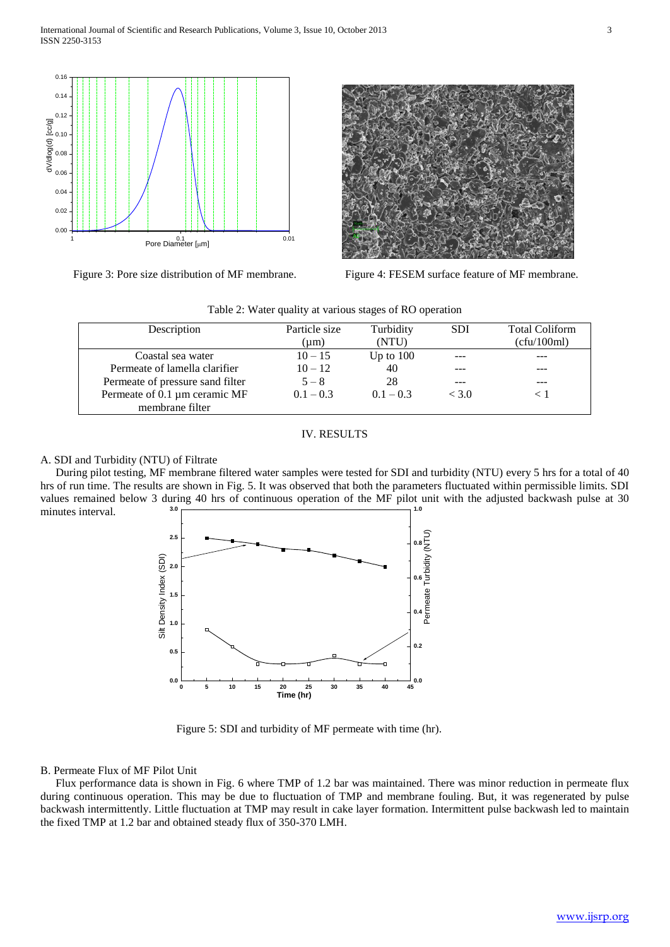

Figure 3: Pore size distribution of MF membrane. Figure 4: FESEM surface feature of MF membrane.



| Description                      | Particle size | Turbidity   | <b>SDI</b> | <b>Total Coliform</b> |
|----------------------------------|---------------|-------------|------------|-----------------------|
|                                  | $(\mu m)$     | (NTU)       |            | (cfu/100ml)           |
| Coastal sea water                | $10 - 15$     | Up to $100$ |            |                       |
| Permeate of lamella clarifier    | $10 - 12$     | 40          |            | ---                   |
| Permeate of pressure sand filter | $5 - 8$       | 28          |            |                       |
| Permeate of 0.1 µm ceramic MF    | $0.1 - 0.3$   | $0.1 - 0.3$ | < 3.0      |                       |
| membrane filter                  |               |             |            |                       |

Table 2: Water quality at various stages of RO operation

# IV. RESULTS

# A. SDI and Turbidity (NTU) of Filtrate

During pilot testing, MF membrane filtered water samples were tested for SDI and turbidity (NTU) every 5 hrs for a total of 40 hrs of run time. The results are shown in Fig. 5. It was observed that both the parameters fluctuated within permissible limits. SDI values remained below 3 during 40 hrs of continuous operation of the MF pilot unit with the adjusted backwash pulse at 30 minutes interval. **3.0 1.0**



Figure 5: SDI and turbidity of MF permeate with time (hr).

## B. Permeate Flux of MF Pilot Unit

Flux performance data is shown in Fig. 6 where TMP of 1.2 bar was maintained. There was minor reduction in permeate flux during continuous operation. This may be due to fluctuation of TMP and membrane fouling. But, it was regenerated by pulse backwash intermittently. Little fluctuation at TMP may result in cake layer formation. Intermittent pulse backwash led to maintain the fixed TMP at 1.2 bar and obtained steady flux of 350-370 LMH.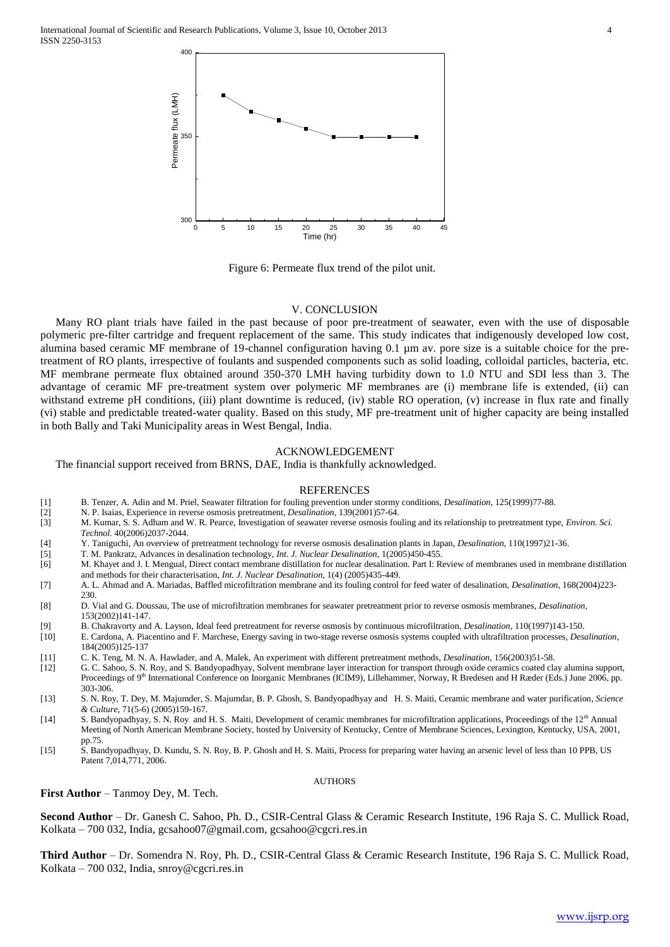

Figure 6: Permeate flux trend of the pilot unit.

#### V. CONCLUSION

Many RO plant trials have failed in the past because of poor pre-treatment of seawater, even with the use of disposable polymeric pre-filter cartridge and frequent replacement of the same. This study indicates that indigenously developed low cost, alumina based ceramic MF membrane of 19-channel configuration having 0.1 µm av. pore size is a suitable choice for the pretreatment of RO plants, irrespective of foulants and suspended components such as solid loading, colloidal particles, bacteria, etc. MF membrane permeate flux obtained around 350-370 LMH having turbidity down to 1.0 NTU and SDI less than 3. The advantage of ceramic MF pre-treatment system over polymeric MF membranes are (i) membrane life is extended, (ii) can withstand extreme pH conditions, (iii) plant downtime is reduced, (iv) stable RO operation, (v) increase in flux rate and finally (vi) stable and predictable treated-water quality. Based on this study, MF pre-treatment unit of higher capacity are being installed in both Bally and Taki Municipality areas in West Bengal, India.

## ACKNOWLEDGEMENT

The financial support received from BRNS, DAE, India is thankfully acknowledged.

#### REFERENCES

- [1] B. Tenzer, A. Adin and M. Priel, Seawater filtration for fouling prevention under stormy conditions, *Desalination*, 125(1999)77-88.
- [2] N. P. Isaias, Experience in reverse osmosis pretreatment, *Desalination*, 139(2001)57-64.
- [3] M. Kumar, S. S. Adham and W. R. Pearce, Investigation of seawater reverse osmosis fouling and its relationship to pretreatment type, *Environ. Sci. Technol.* 40(2006)2037-2044.
- [4] Y. Taniguchi, An overview of pretreatment technology for reverse osmosis desalination plants in Japan, *Desalination*, 110(1997)21-36.
- [5] T. M. Pankratz, Advances in desalination technology, *Int. J. Nuclear Desalination,* 1(2005)450-455.
- [6] M. Khayet and J. I. Mengual, Direct contact membrane distillation for nuclear desalination. Part I: Review of membranes used in membrane distillation and methods for their characterisation, *Int. J. Nuclear Desalination,* 1(4) (2005)435-449.
- [7] A. L. Ahmad and A. Mariadas, Baffled microfiltration membrane and its fouling control for feed water of desalination, *Desalination*, 168(2004)223- 230.
- [8] D. Vial and G. Doussau, The use of microfiltration membranes for seawater pretreatment prior to reverse osmosis membranes, *Desalination*, 153(2002)141-147.
- [9] B. Chakravorty and A. Layson, Ideal feed pretreatment for reverse osmosis by continuous microfiltration, *Desalination*, 110(1997)143-150.
- [10] E. Cardona, A. Piacentino and F. Marchese, Energy saving in two-stage reverse osmosis systems coupled with ultrafiltration processes, *Desalination*, 184(2005)125-137
- [11] C. K. Teng, M. N. A. Hawlader, and A. Malek, An experiment with different pretreatment methods, *Desalination*, 156(2003)51-58.
- [12] G. C. Sahoo, S. N. Roy, and S. Bandyopadhyay, Solvent membrane layer interaction for transport through oxide ceramics coated clay alumina support, Proceedings of 9<sup>th</sup> International Conference on Inorganic Membranes (ICIM9), Lillehammer, Norway, R Bredesen and H Ræder (Eds.) June 2006, pp. 303-306.
- [13] S. N. Roy, T. Dey, M. Majumder, S. Majumdar, B. P. Ghosh, S. Bandyopadhyay and H. S. Maiti, Ceramic membrane and water purification, *Science & Culture*, 71(5-6) (2005)159-167.
- [14] S. Bandyopadhyay, S. N. Roy and H. S. Maiti, Development of ceramic membranes for microfiltration applications, Proceedings of the 12<sup>th</sup> Annual Meeting of North American Membrane Society, hosted by University of Kentucky, Centre of Membrane Sciences, Lexington, Kentucky, USA, 2001, pp.75.
- [15] S. Bandyopadhyay, D. Kundu, S. N. Roy, B. P. Ghosh and H. S. Maiti, Process for preparing water having an arsenic level of less than 10 PPB, US Patent 7,014,771, 2006.

First Author – Tanmoy Dey, M. Tech.

**Second Author** – Dr. Ganesh C. Sahoo, Ph. D., CSIR-Central Glass & Ceramic Research Institute, 196 Raja S. C. Mullick Road, Kolkata – 700 032, India, gcsahoo07@gmail.com, gcsahoo@cgcri.res.in

AUTHORS

**Third Author** – Dr. Somendra N. Roy, Ph. D., CSIR-Central Glass & Ceramic Research Institute, 196 Raja S. C. Mullick Road, Kolkata – 700 032, India, snroy@cgcri.res.in